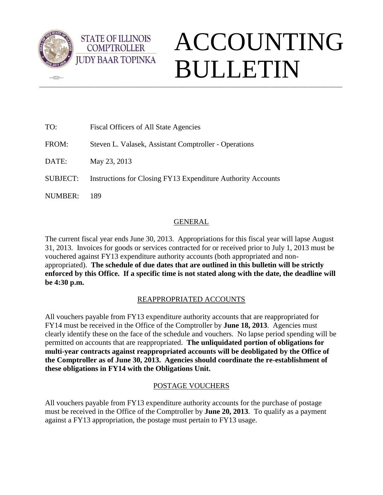

 $\sqrt{2\pi}$ 

**STATE OF ILLINOIS COMPTROLLER** 

# $\_$  ,  $\_$  ,  $\_$  ,  $\_$  ,  $\_$  ,  $\_$  ,  $\_$  ,  $\_$  ,  $\_$  ,  $\_$  ,  $\_$  ,  $\_$  ,  $\_$  ,  $\_$  ,  $\_$  ,  $\_$  ,  $\_$  ,  $\_$  ,  $\_$  ,  $\_$  ,  $\_$  ,  $\_$  ,  $\_$  ,  $\_$  ,  $\_$  ,  $\_$  ,  $\_$  ,  $\_$  ,  $\_$  ,  $\_$  ,  $\_$  ,  $\_$  ,  $\_$  ,  $\_$  ,  $\_$  ,  $\_$  ,  $\_$  , ACCOUNTING BULLETIN

| TO:             | Fiscal Officers of All State Agencies                        |
|-----------------|--------------------------------------------------------------|
| FROM:           | Steven L. Valasek, Assistant Comptroller - Operations        |
| DATE:           | May 23, 2013                                                 |
| <b>SUBJECT:</b> | Instructions for Closing FY13 Expenditure Authority Accounts |
| NUMBER:         | 189                                                          |

## GENERAL

The current fiscal year ends June 30, 2013. Appropriations for this fiscal year will lapse August 31, 2013. Invoices for goods or services contracted for or received prior to July 1, 2013 must be vouchered against FY13 expenditure authority accounts (both appropriated and nonappropriated). **The schedule of due dates that are outlined in this bulletin will be strictly enforced by this Office. If a specific time is not stated along with the date, the deadline will be 4:30 p.m.**

## REAPPROPRIATED ACCOUNTS

All vouchers payable from FY13 expenditure authority accounts that are reappropriated for FY14 must be received in the Office of the Comptroller by **June 18, 2013**. Agencies must clearly identify these on the face of the schedule and vouchers. No lapse period spending will be permitted on accounts that are reappropriated. **The unliquidated portion of obligations for multi-year contracts against reappropriated accounts will be deobligated by the Office of the Comptroller as of June 30, 2013. Agencies should coordinate the re-establishment of these obligations in FY14 with the Obligations Unit.** 

## POSTAGE VOUCHERS

All vouchers payable from FY13 expenditure authority accounts for the purchase of postage must be received in the Office of the Comptroller by **June 20, 2013**. To qualify as a payment against a FY13 appropriation, the postage must pertain to FY13 usage.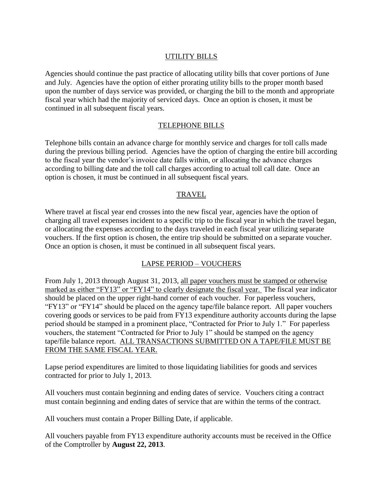## UTILITY BILLS

Agencies should continue the past practice of allocating utility bills that cover portions of June and July. Agencies have the option of either prorating utility bills to the proper month based upon the number of days service was provided, or charging the bill to the month and appropriate fiscal year which had the majority of serviced days. Once an option is chosen, it must be continued in all subsequent fiscal years.

## TELEPHONE BILLS

Telephone bills contain an advance charge for monthly service and charges for toll calls made during the previous billing period. Agencies have the option of charging the entire bill according to the fiscal year the vendor's invoice date falls within, or allocating the advance charges according to billing date and the toll call charges according to actual toll call date. Once an option is chosen, it must be continued in all subsequent fiscal years.

## TRAVEL

Where travel at fiscal year end crosses into the new fiscal year, agencies have the option of charging all travel expenses incident to a specific trip to the fiscal year in which the travel began, or allocating the expenses according to the days traveled in each fiscal year utilizing separate vouchers. If the first option is chosen, the entire trip should be submitted on a separate voucher. Once an option is chosen, it must be continued in all subsequent fiscal years.

## LAPSE PERIOD – VOUCHERS

From July 1, 2013 through August 31, 2013, all paper vouchers must be stamped or otherwise marked as either "FY13" or "FY14" to clearly designate the fiscal year. The fiscal year indicator should be placed on the upper right-hand corner of each voucher. For paperless vouchers, "FY13" or "FY14" should be placed on the agency tape/file balance report. All paper vouchers covering goods or services to be paid from FY13 expenditure authority accounts during the lapse period should be stamped in a prominent place, "Contracted for Prior to July 1." For paperless vouchers, the statement "Contracted for Prior to July 1" should be stamped on the agency tape/file balance report. ALL TRANSACTIONS SUBMITTED ON A TAPE/FILE MUST BE FROM THE SAME FISCAL YEAR.

Lapse period expenditures are limited to those liquidating liabilities for goods and services contracted for prior to July 1, 2013.

All vouchers must contain beginning and ending dates of service. Vouchers citing a contract must contain beginning and ending dates of service that are within the terms of the contract.

All vouchers must contain a Proper Billing Date, if applicable.

All vouchers payable from FY13 expenditure authority accounts must be received in the Office of the Comptroller by **August 22, 2013**.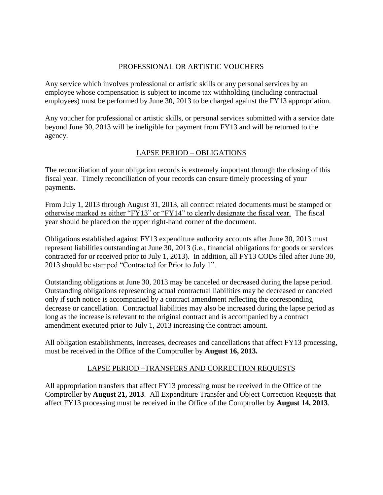## PROFESSIONAL OR ARTISTIC VOUCHERS

Any service which involves professional or artistic skills or any personal services by an employee whose compensation is subject to income tax withholding (including contractual employees) must be performed by June 30, 2013 to be charged against the FY13 appropriation.

Any voucher for professional or artistic skills, or personal services submitted with a service date beyond June 30, 2013 will be ineligible for payment from FY13 and will be returned to the agency.

## LAPSE PERIOD – OBLIGATIONS

The reconciliation of your obligation records is extremely important through the closing of this fiscal year. Timely reconciliation of your records can ensure timely processing of your payments.

From July 1, 2013 through August 31, 2013, all contract related documents must be stamped or otherwise marked as either "FY13" or "FY14" to clearly designate the fiscal year. The fiscal year should be placed on the upper right-hand corner of the document.

Obligations established against FY13 expenditure authority accounts after June 30, 2013 must represent liabilities outstanding at June 30, 2013 (i.e., financial obligations for goods or services contracted for or received prior to July 1, 2013). In addition, all FY13 CODs filed after June 30, 2013 should be stamped "Contracted for Prior to July 1".

Outstanding obligations at June 30, 2013 may be canceled or decreased during the lapse period. Outstanding obligations representing actual contractual liabilities may be decreased or canceled only if such notice is accompanied by a contract amendment reflecting the corresponding decrease or cancellation. Contractual liabilities may also be increased during the lapse period as long as the increase is relevant to the original contract and is accompanied by a contract amendment executed prior to July 1, 2013 increasing the contract amount.

All obligation establishments, increases, decreases and cancellations that affect FY13 processing, must be received in the Office of the Comptroller by **August 16, 2013.**

## LAPSE PERIOD –TRANSFERS AND CORRECTION REQUESTS

All appropriation transfers that affect FY13 processing must be received in the Office of the Comptroller by **August 21, 2013**. All Expenditure Transfer and Object Correction Requests that affect FY13 processing must be received in the Office of the Comptroller by **August 14, 2013**.